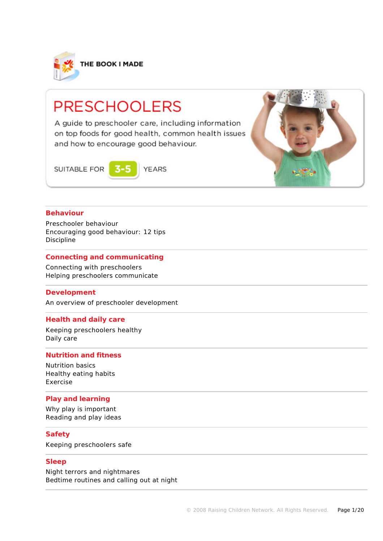

# **PRESCHOOLERS**

A guide to preschooler care, including information on top foods for good health, common health issues and how to encourage good behaviour.

SUITABLE FOR

**YEARS** 



# **Behaviour**

Preschooler behaviour Encouraging good behaviour: 12 tips Discipline

# **Connecting and communicating**

Connecting with preschoolers Helping preschoolers communicate

### **Development**

An overview of preschooler development

### **Health and daily care**

Keeping preschoolers healthy Daily care

# **Nutrition and fitness**

Nutrition basics Healthy eating habits Exercise

### **Play and learning**

Why play is important Reading and play ideas

### **Safety**

Keeping preschoolers safe

### **Sleep**

Night terrors and nightmares Bedtime routines and calling out at night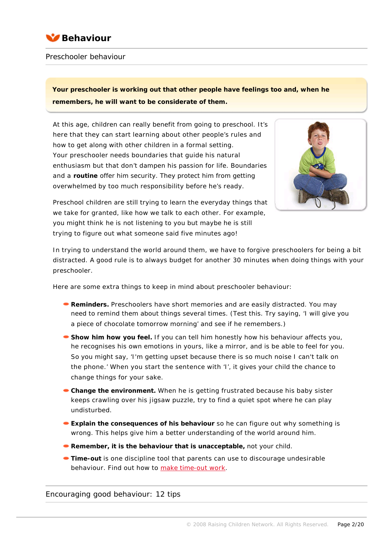

# Preschooler behaviour

**Your preschooler is working out that other people have feelings too and, when he remembers, he will want to be considerate of them.**

At this age, children can really benefit from going to preschool. It's here that they can start learning about other people's rules and how to get along with other children in a formal setting. Your preschooler needs boundaries that guide his natural enthusiasm but that don't dampen his passion for life. Boundaries and a **[routine](javascript:showGlossary(1322);)** offer him security. They protect him from getting overwhelmed by too much responsibility before he's ready.



Preschool children are still trying to learn the everyday things that we take for granted, like how we talk to each other. For example, you might think he is not listening to you but maybe he is still trying to figure out what someone said five minutes ago!

In trying to understand the world around them, we have to forgive preschoolers for being a bit distracted. A good rule is to always budget for another 30 minutes when doing things with your preschooler.

Here are some extra things to keep in mind about preschooler behaviour:

- **Reminders.** Preschoolers have short memories and are easily distracted. You may need to remind them about things several times. (Test this. Try saying, 'I will give you a piece of chocolate tomorrow morning' and see if he remembers.)
- **Show him how you feel. If you can tell him honestly how his behaviour affects you,** he recognises his own emotions in yours, like a mirror, and is be able to feel for you. So you might say, 'I'm getting upset because there is so much noise I can't talk on the phone.' When you start the sentence with 'I', it gives your child the chance to change things for your sake.
- **Change the environment.** When he is getting frustrated because his baby sister keeps crawling over his jigsaw puzzle, try to find a quiet spot where he can play undisturbed.
- **Explain the consequences of his behaviour** so he can figure out why something is wrong. This helps give him a better understanding of the world around him.
- **Remember, it is the behaviour that is unacceptable,** not your child.
- **Time-out** is one discipline tool that parents can use to discourage undesirable behaviour. Find out how to [make time-out work](http://raisingchildren.net.au/articles/time_out:_what_is_it.html/context/458).

Encouraging good behaviour: 12 tips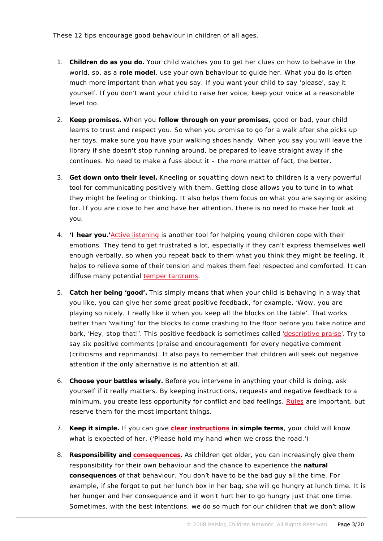These 12 tips encourage good behaviour in children of all ages.

- 1. **Children do as you do.** Your child watches you to get her clues on how to behave in the world, so, as a **role model**, use your own behaviour to guide her. What you do is often much more important than what you say. If you want your child to say 'please', say it yourself. If you don't want your child to raise her voice, keep your voice at a reasonable level too.
- 2. **Keep promises.** When you **follow through on your promises**, good or bad, your child learns to trust and respect you. So when you promise to go for a walk after she picks up her toys, make sure you have your walking shoes handy. When you say you will leave the library if she doesn't stop running around, be prepared to leave straight away if she continues. No need to make a fuss about it – the more matter of fact, the better.
- 3. **Get down onto their level.** Kneeling or squatting down next to children is a very powerful tool for communicating positively with them. Getting close allows you to tune in to what they might be feeling or thinking. It also helps them focus on what you are saying or asking for. If you are close to her and have her attention, there is no need to make her look at you.
- 4. **'I hear you.'**[Active listening](http://raisingchildren.net.au/articles/talking_and_listening.html/context/284) is another tool for helping young children cope with their emotions. They tend to get frustrated a lot, especially if they can't express themselves well enough verbally, so when you repeat back to them what you think they might be feeling, it helps to relieve some of their tension and makes them feel respected and comforted. It can diffuse many potential [temper tantrums.](http://raisingchildren.net.au/articles/temper_tantrums.html)
- 5. **Catch her being 'good'.** This simply means that when your child is behaving in a way that you like, you can give her some great positive feedback, for example, 'Wow, you are playing so nicely. I really like it when you keep all the blocks on the table'. That works better than 'waiting' for the blocks to come crashing to the floor before you take notice and bark, 'Hey, stop that!'. This positive feedback is sometimes called ['descriptive praise](http://raisingchildren.net.au/articles/praise_and_encouragement.html/context/284)'. Try to say six positive comments (praise and encouragement) for every negative comment (criticisms and reprimands). It also pays to remember that children will seek out negative attention if the only alternative is no attention at all.
- 6. **Choose your battles wisely.** Before you intervene in anything your child is doing, ask yourself if it really matters. By keeping instructions, requests and negative feedback to a minimum, you create less opportunity for conflict and bad feelings. [Rules](http://raisingchildren.net.au/articles/family_rules.html/context/458) are important, but reserve them for the most important things.
- 7. **Keep it simple.** If you can give **[clear instructions](http://raisingchildren.net.au/articles/giving_commands.html/context/458) in simple terms**, your child will know what is expected of her. ('Please hold my hand when we cross the road.')
- 8. **Responsibility and [consequences.](http://raisingchildren.net.au/articles/consequences.html/context/458)** As children get older, you can increasingly give them responsibility for their own behaviour and the chance to experience the **natural consequences** of that behaviour. You don't have to be the bad guy all the time. For example, if she forgot to put her lunch box in her bag, she will go hungry at lunch time. It is her hunger and her consequence and it won't hurt her to go hungry just that one time. Sometimes, with the best intentions, we do so much for our children that we don't allow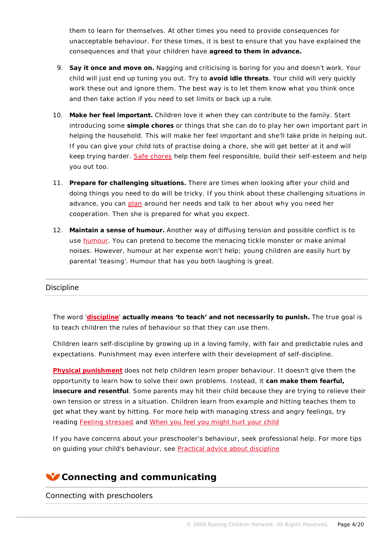them to learn for themselves. At other times you need to provide consequences for unacceptable behaviour. For these times, it is best to ensure that you have explained the consequences and that your children have **agreed to them in advance.**

- 9. **Say it once and move on.** Nagging and criticising is boring for you and doesn't work. Your child will just end up tuning you out. Try to **avoid idle threats**. Your child will very quickly work these out and ignore them. The best way is to let them know what you think once and then take action if you need to set limits or back up a rule.
- 10. **Make her feel important.** Children love it when they can contribute to the family. Start introducing some **simple chores** or things that she can do to play her own important part in helping the household. This will make her feel important and she'll take pride in helping out. If you can give your child lots of practise doing a chore, she will get better at it and will keep trying harder. [Safe chores](http://raisingchildren.net.au/articles/tasks_and_chores:_involving_kids.html) help them feel responsible, build their self-esteem and help you out too.
- 11. **Prepare for challenging situations.** There are times when looking after your child and doing things you need to do will be tricky. If you think about these challenging situations in advance, you can [plan](http://raisingchildren.net.au/articles/planning_ahead.html/context/458) around her needs and talk to her about why you need her cooperation. Then she is prepared for what you expect.
- 12. **Maintain a sense of humour.** Another way of diffusing tension and possible conflict is to use [humour.](http://raisingchildren.net.au/articles/have_some_fun_pbs.html) You can pretend to become the menacing tickle monster or make animal noises. However, humour at her expense won't help; young children are easily hurt by parental 'teasing'. Humour that has you both laughing is great.

# **Discipline**

The word '**[discipline](http://raisingchildren.net.au/articles/discipline_introduction.html/context/265)**' **actually means 'to teach' and not necessarily to punish.** The true goal is to teach children the rules of behaviour so that they can use them.

Children learn self-discipline by growing up in a loving family, with fair and predictable rules and expectations. Punishment may even interfere with their development of self-discipline.

**[Physical punishment](http://raisingchildren.net.au/articles/is_punishment_necessary.html/context/265)** does not help children learn proper behaviour. It doesn't give them the opportunity to learn how to solve their own problems. Instead, it **can make them fearful, insecure and resentful**. Some parents may hit their child because they are trying to relieve their own tension or stress in a situation. Children learn from example and hitting teaches them to get what they want by hitting. For more help with managing stress and angry feelings, try reading [Feeling stressed](http://raisingchildren.net.au/articles/feeling_stressed.html) and [When you feel you might hurt your child](http://raisingchildren.net.au/articles/when_you_feel_you_might_hurt_your_child.html/context/262)

If you have concerns about your preschooler's behaviour, seek professional help. For more tips on guiding your child's behaviour, see [Practical advice about discipline](http://raisingchildren.net.au/articles/practical_advice_about_discipline.html/context/265)

# **Connecting and communicating**

Connecting with preschoolers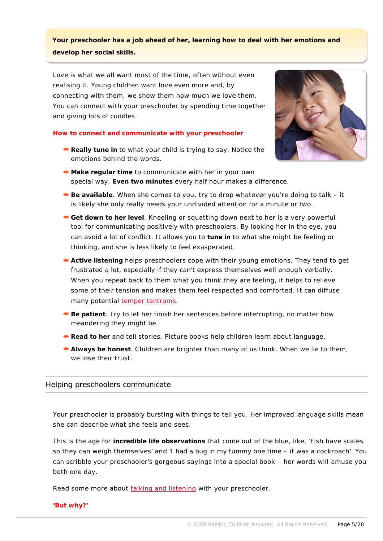**Your preschooler has a job ahead of her, learning how to deal with her emotions and develop her social skills.**

Love is what we all want most of the time, often without even realising it. Young children want love even more and, by connecting with them, we show them how much we love them. You can connect with your preschooler by spending time together and giving lots of cuddles.

### **How to connect and communicate with your preschooler**

**Really tune in to what your child is trying to say. Notice the** emotions behind the words.



- **Make regular time** to communicate with her in your own special way. **Even two minutes** every half hour makes a difference.
- **Be available**. When she comes to you, try to drop whatever you're doing to talk it is likely she only really needs your undivided attention for a minute or two.
- **Get down to her level**. Kneeling or squatting down next to her is a very powerful tool for communicating positively with preschoolers. By looking her in the eye, you can avoid a lot of conflict. It allows you to **tune in** to what she might be feeling or thinking, and she is less likely to feel exasperated.
- **Active listening** helps preschoolers cope with their young emotions. They tend to get frustrated a lot, especially if they can't express themselves well enough verbally. When you repeat back to them what you think they are feeling, it helps to relieve some of their tension and makes them feel respected and comforted. It can diffuse many potential [temper tantrums](http://raisingchildren.net.au/articles/temper_tantrums.html).
- **Be patient. Try to let her finish her sentences before interrupting, no matter how** meandering they might be.
- **Read to her and tell stories. Picture books help children learn about language.**
- **Always be honest**. Children are brighter than many of us think. When we lie to them, we lose their trust.

# Helping preschoolers communicate

Your preschooler is probably bursting with things to tell you. Her improved language skills mean she can describe what she feels and sees.

This is the age for **incredible life observations** that come out of the blue, like, 'Fish have scales so they can weigh themselves' and 'I had a bug in my tummy one time – it was a cockroach'. You can scribble your preschooler's gorgeous sayings into a special book – her words will amuse you both one day.

Read some more about [talking and listening](http://raisingchildren.net.au/articles/talking_and_listening.html/context/284) with your preschooler.

**'But why?'**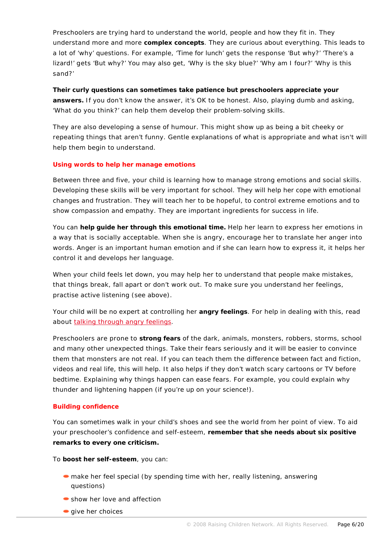Preschoolers are trying hard to understand the world, people and how they fit in. They understand more and more **complex concepts**. They are curious about everything. This leads to a lot of 'why' questions. For example, 'Time for lunch' gets the response 'But why?' 'There's a lizard!' gets 'But why?' You may also get, 'Why is the sky blue?' 'Why am I four?' 'Why is this sand?'

**Their curly questions can sometimes take patience but preschoolers appreciate your answers.** If you don't know the answer, it's OK to be honest. Also, playing dumb and asking, 'What do you think?' can help them develop their problem-solving skills.

They are also developing a sense of humour. This might show up as being a bit cheeky or repeating things that aren't funny. Gentle explanations of what is appropriate and what isn't will help them begin to understand.

# **Using words to help her manage emotions**

Between three and five, your child is learning how to manage strong emotions and social skills. Developing these skills will be very important for school. They will help her cope with emotional changes and frustration. They will teach her to be hopeful, to control extreme emotions and to show compassion and empathy. They are important ingredients for success in life.

You can **help guide her through this emotional time.** Help her learn to express her emotions in a way that is socially acceptable. When she is angry, encourage her to translate her anger into words. Anger is an important human emotion and if she can learn how to express it, it helps her control it and develops her language.

When your child feels let down, you may help her to understand that people make mistakes, that things break, fall apart or don't work out. To make sure you understand her feelings, practise active listening (see above).

Your child will be no expert at controlling her **angry feelings**. For help in dealing with this, read about [talking through angry feelings](http://raisingchildren.net.au/articles/talking_through_angry_feelings_pbs.html/context/285).

Preschoolers are prone to **strong fears** of the dark, animals, monsters, robbers, storms, school and many other unexpected things. Take their fears seriously and it will be easier to convince them that monsters are not real. If you can teach them the difference between fact and fiction, videos and real life, this will help. It also helps if they don't watch scary cartoons or TV before bedtime. Explaining why things happen can ease fears. For example, you could explain why thunder and lightening happen (if you're up on your science!).

# **Building confidence**

You can sometimes walk in your child's shoes and see the world from her point of view. To aid your preschooler's confidence and self-esteem, **remember that she needs about six positive remarks to every one criticism.**

To **boost her self-esteem**, you can:

- make her feel special (by spending time with her, really listening, answering questions)
- show her love and affection
- $\bullet$  give her choices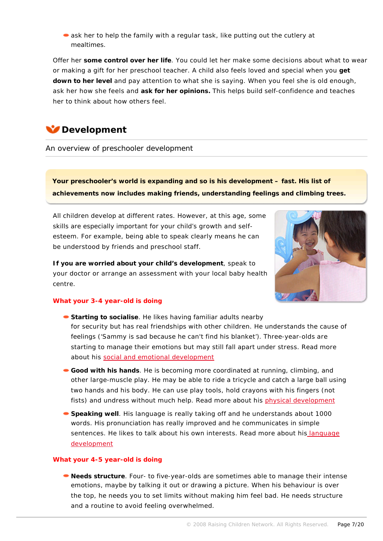• ask her to help the family with a regular task, like putting out the cutlery at mealtimes.

Offer her **some control over her life**. You could let her make some decisions about what to wear or making a gift for her preschool teacher. A child also feels loved and special when you **get down to her level** and pay attention to what she is saying. When you feel she is old enough, ask her how she feels and **ask for her opinions.** This helps build self-confidence and teaches her to think about how others feel.

# **Development**

An overview of preschooler development

**Your preschooler's world is expanding and so is his development – fast. His list of achievements now includes making friends, understanding feelings and climbing trees.**

All children develop at different rates. However, at this age, some skills are especially important for your child's growth and selfesteem. For example, being able to speak clearly means he can be understood by friends and preschool staff.

**If you are worried about your child's development**, speak to your doctor or arrange an assessment with your local baby health centre.



# **What your 3-4 year-old is doing**

- **Starting to socialise**. He likes having familiar adults nearby for security but has real friendships with other children. He understands the cause of feelings ('Sammy is sad because he can't find his blanket'). Three-year-olds are starting to manage their emotions but may still fall apart under stress. Read more about his [social and emotional development](http://raisingchildren.net.au/articles/social_and_emotional_growth_from_age_3_to_4_pbs.html)
- **Good with his hands**. He is becoming more coordinated at running, climbing, and other large-muscle play. He may be able to ride a tricycle and catch a large ball using two hands and his body. He can use play tools, hold crayons with his fingers (not fists) and undress without much help. Read more about his [physical development](http://raisingchildren.net.au/articles/physical_health_from_age_3_to_4_pbs.html)
- **Speaking well**. His language is really taking off and he understands about 1000 words. His pronunciation has really improved and he communicates in simple sentences. He likes to talk about his own interests. Read more about hi[s language](http://raisingchildren.net.au/articles/language_development_from_age_3_to_4_pbs.html)  [development](http://raisingchildren.net.au/articles/language_development_from_age_3_to_4_pbs.html)

### **What your 4-5 year-old is doing**

**Needs structure**. Four- to five-year-olds are sometimes able to manage their intense emotions, maybe by talking it out or drawing a picture. When his behaviour is over the top, he needs you to set limits without making him feel bad. He needs structure and a routine to avoid feeling overwhelmed.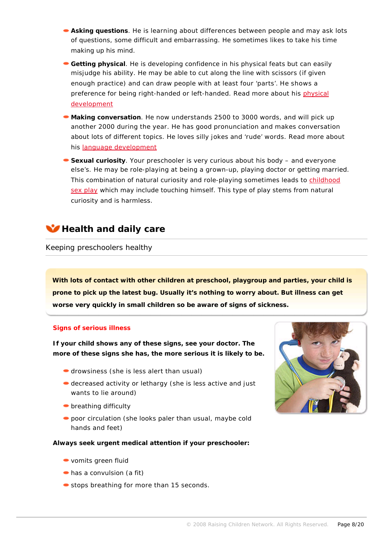- **Asking questions**. He is learning about differences between people and may ask lots of questions, some difficult and embarrassing. He sometimes likes to take his time making up his mind.
- **Getting physical**. He is developing confidence in his physical feats but can easily misjudge his ability. He may be able to cut along the line with scissors (if given enough practice) and can draw people with at least four 'parts'. He shows a preference for being right-handed or left-handed. Read more about his physical [development](http://raisingchildren.net.au/articles/physical_health_from_age_4_to_5_pbs.html)
- **Making conversation**. He now understands 2500 to 3000 words, and will pick up another 2000 during the year. He has good pronunciation and makes conversation about lots of different topics. He loves silly jokes and 'rude' words. Read more about his [language development](http://raisingchildren.net.au/articles/language_from_age_4_to_5_pbs.html)
- **Sexual curiosity**. Your preschooler is very curious about his body and everyone else's. He may be role-playing at being a grown-up, playing doctor or getting married. This combination of natural curiosity and role-playing sometimes leads to [childhood](http://raisingchildren.net.au/articles/childhood_sex_play.html)  [sex play](http://raisingchildren.net.au/articles/childhood_sex_play.html) which may include touching himself. This type of play stems from natural curiosity and is harmless.



# Keeping preschoolers healthy

**With lots of contact with other children at preschool, playgroup and parties, your child is prone to pick up the latest bug. Usually it's nothing to worry about. But illness can get worse very quickly in small children so be aware of signs of sickness.**

### **Signs of serious illness**

**If your child shows any of these signs, see your doctor. The more of these signs she has, the more serious it is likely to be.**

- drowsiness (she is less alert than usual)
- decreased activity or lethargy (she is less active and just wants to lie around)
- **•** breathing difficulty
- poor circulation (she looks paler than usual, maybe cold hands and feet)

**Always seek urgent medical attention if your preschooler:**

- vomits green fluid
- has a convulsion (a fit)
- stops breathing for more than 15 seconds.

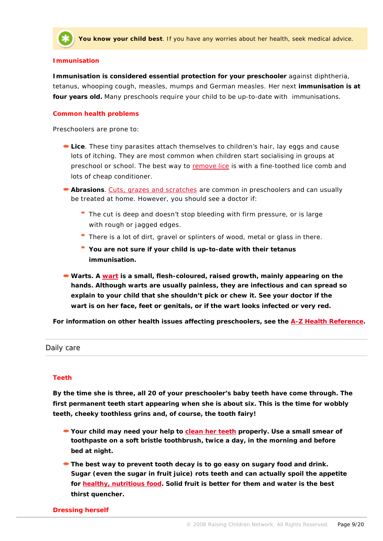

**You know your child best**. If you have any worries about her health, seek medical advice.

#### **Immunisation**

**Immunisation is considered essential protection for your preschooler** against diphtheria, tetanus, whooping cough, measles, mumps and German measles. Her next **immunisation is at four years old.** Many preschools require your child to be up-to-date with immunisations.

#### **Common health problems**

Preschoolers are prone to:

- **Lice**. These tiny parasites attach themselves to children's hair, lay eggs and cause lots of itching. They are most common when children start socialising in groups at preschool or school. The best way to [remove lice](http://raisingchildren.net.au/articles/lice.html) is with a fine-toothed lice comb and lots of cheap conditioner.
- **Abrasions**. [Cuts, grazes and scratches](http://raisingchildren.net.au/articles/abrasions.html) are common in preschoolers and can usually be treated at home. However, you should see a doctor if:
	- The cut is deep and doesn't stop bleeding with firm pressure, or is large with rough or jagged edges.
	- There is a lot of dirt, gravel or splinters of wood, metal or glass in there.
	- **You are not sure if your child is up-to-date with their tetanus immunisation.**
- **Warts. A [wart](http://raisingchildren.net.au/articles/warts.html) is a small, flesh-coloured, raised growth, mainly appearing on the hands. Although warts are usually painless, they are infectious and can spread so explain to your child that she shouldn't pick or chew it. See your doctor if the wart is on her face, feet or genitals, or if the wart looks infected or very red.**

**For information on other health issues affecting preschoolers, see the [A-Z Health Reference.](http://raisingchildren.net.au/link.aspx?id=2034)**

### Daily care

# **Teeth**

**By the time she is three, all 20 of your preschooler's baby teeth have come through. The first permanent teeth start appearing when she is about six. This is the time for wobbly teeth, cheeky toothless grins and, of course, the tooth fairy!**

- **Your child may need your help to [clean her teeth](http://raisingchildren.net.au/articles/teeth_and_teeth_care_-_cyh.html) properly. Use a small smear of toothpaste on a soft bristle toothbrush, twice a day, in the morning and before bed at night.**
- **The best way to prevent tooth decay is to go easy on sugary food and drink. Sugar (even the sugar in fruit juice) rots teeth and can actually spoil the appetite for [healthy, nutritious food](http://raisingchildren.net.au/articles/nutrition_toolkit.html/context/211). Solid fruit is better for them and water is the best thirst quencher.**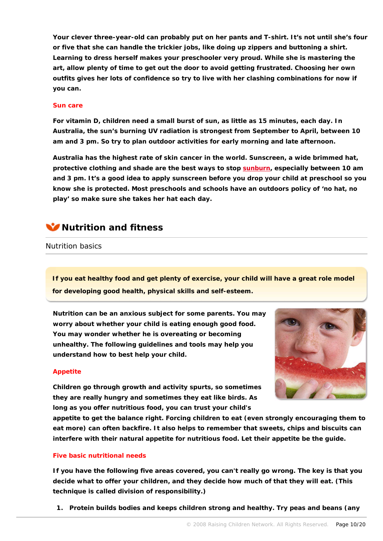**Your clever three-year-old can probably put on her pants and T-shirt. It's not until she's four or five that she can handle the trickier jobs, like doing up zippers and buttoning a shirt. Learning to dress herself makes your preschooler very proud. While she is mastering the art, allow plenty of time to get out the door to avoid getting frustrated. Choosing her own outfits gives her lots of confidence so try to live with her clashing combinations for now if you can.**

### **Sun care**

**For vitamin D, children need a small burst of sun, as little as 15 minutes, each day. In Australia, the sun's burning UV radiation is strongest from September to April, between 10 am and 3 pm. So try to plan outdoor activities for early morning and late afternoon.**

**Australia has the highest rate of skin cancer in the world. Sunscreen, a wide brimmed hat, protective clothing and shade are the best ways to stop [sunburn,](http://raisingchildren.net.au/articles/sunburn.html) especially between 10 am and 3 pm. It's a good idea to apply sunscreen before you drop your child at preschool so you know she is protected. Most preschools and schools have an outdoors policy of 'no hat, no play' so make sure she takes her hat each day.**



Nutrition basics

**If you eat healthy food and get plenty of exercise, your child will have a great role model for developing good health, physical skills and self-esteem.**

**Nutrition can be an anxious subject for some parents. You may worry about whether your child is eating enough good food. You may wonder whether he is overeating or becoming unhealthy. The following guidelines and tools may help you understand how to best help your child.**



# **Appetite**

**Children go through growth and activity spurts, so sometimes they are really hungry and sometimes they eat like birds. As long as you offer nutritious food, you can trust your child's** 

**appetite to get the balance right. Forcing children to eat (even strongly encouraging them to eat more) can often backfire. It also helps to remember that sweets, chips and biscuits can interfere with their natural appetite for nutritious food. Let their appetite be the guide.**

# **Five basic nutritional needs**

**If you have the following five areas covered, you can't really go wrong. The key is that you decide what to offer your children, and they decide how much of that they will eat. (This technique is called division of responsibility.)**

**1. [Protein](javascript:showGlossary(419);) builds bodies and keeps children strong and healthy. Try peas and beans (any**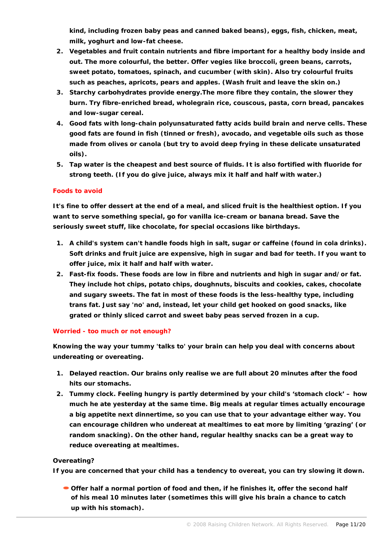**kind, including frozen baby peas and canned baked beans), eggs, fish, chicken, meat, milk, yoghurt and low-fat cheese.** 

- **2. Vegetables and fruit contain [nutrients](javascript:showGlossary(587);) and [fibre](javascript:showGlossary(2987);) important for a healthy body inside and out. The more colourful, the better. Offer vegies like broccoli, green beans, carrots, sweet potato, tomatoes, spinach, and cucumber (with skin). Also try colourful fruits such as peaches, apricots, pears and apples. (Wash fruit and leave the skin on.)**
- **3. Starchy [carbohydrates](javascript:showGlossary(418);) provide energy.The more fibre they contain, the slower they burn. Try fibre-enriched bread, wholegrain rice, couscous, pasta, corn bread, pancakes and low-sugar cereal.**
- **4. Good fats with [long-chain polyunsaturated fatty acids](javascript:showGlossary(1698);) build brain and nerve cells. These good fats are found in fish (tinned or fresh), avocado, and vegetable oils such as those made from olives or canola (but try to avoid deep frying in these delicate unsaturated oils).**
- **5. Tap water is the cheapest and best source of fluids. It is also fortified with fluoride for strong teeth. (If you do give juice, always mix it half and half with water.)**

# **Foods to avoid**

**It's fine to offer dessert at the end of a meal, and sliced fruit is the healthiest option. If you want to serve something special, go for vanilla ice-cream or banana bread. Save the seriously sweet stuff, like chocolate, for special occasions like birthdays.** 

- **1. A child's system can't handle foods high in salt, sugar or caffeine (found in cola drinks). Soft drinks and fruit juice are expensive, high in sugar and bad for teeth. If you want to offer juice, mix it half and half with water.**
- **2. Fast-fix foods. These foods are low in fibre and nutrients and high in sugar and/or fat. They include hot chips, potato chips, doughnuts, biscuits and cookies, cakes, chocolate and sugary sweets. The fat in most of these foods is the less-healthy type, including [trans fat.](javascript:showGlossary(3913);) Just say 'no' and, instead, let your child get hooked on good snacks, like grated or thinly sliced carrot and sweet baby peas served frozen in a cup.**

### **Worried - too much or not enough?**

**Knowing the way your tummy 'talks to' your brain can help you deal with concerns about undereating or overeating.** 

- **1. Delayed reaction. Our brains only realise we are full about 20 minutes after the food hits our stomachs.**
- **2. Tummy clock. Feeling hungry is partly determined by your child's 'stomach clock' – how much he ate yesterday at the same time. Big meals at regular times actually encourage a big appetite next dinnertime, so you can use that to your advantage either way. You can encourage children who undereat at mealtimes to eat more by limiting 'grazing' (or random snacking). On the other hand, regular healthy snacks can be a great way to reduce overeating at mealtimes.**

# **Overeating?**

**If you are concerned that your child has a tendency to overeat, you can try slowing it down.** 

**Offer half a normal portion of food and then, if he finishes it, offer the second half of his meal 10 minutes later (sometimes this will give his brain a chance to catch up with his stomach).**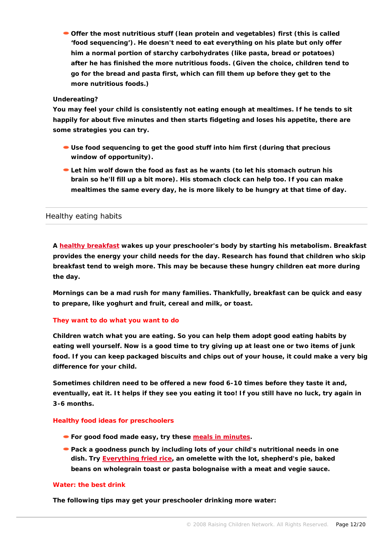**Offer the most nutritious stuff (lean protein and vegetables) first (this is called 'food sequencing'). He doesn't need to eat everything on his plate but only offer him a normal portion of starchy carbohydrates (like pasta, bread or potatoes)**  *after* **he has finished the more nutritious foods. (Given the choice, children tend to go for the bread and pasta first, which can fill them up before they get to the more nutritious foods.)**

# **Undereating?**

**You may feel your child is consistently not eating enough at mealtimes. If he tends to sit happily for about five minutes and then starts fidgeting and loses his appetite, there are some strategies you can try.**

- **Use food sequencing to get the good stuff into him first (during that precious window of opportunity).**
- **Let him wolf down the food as fast as he wants (to let his stomach outrun his brain so he'll fill up a bit more). His stomach clock can help too. If you can make mealtimes the same every day, he is more likely to be hungry at that time of day.**

# Healthy eating habits

**A [healthy breakfast](http://raisingchildren.net.au/articles/what_about_breakfast.html/context/211) wakes up your preschooler's body by starting his [metabolism.](javascript:showGlossary(1703);) Breakfast provides the energy your child needs for the day. Research has found that children who skip breakfast tend to weigh more. This may be because these hungry children eat more during the day.**

**Mornings can be a mad rush for many families. Thankfully, breakfast can be quick and easy to prepare, like yoghurt and fruit, cereal and milk, or toast.** 

# **They want to do what you want to do**

**Children watch what you are eating. So you can help them adopt good eating habits by eating well yourself. Now is a good time to try giving up at least one or two items of junk food. If you can keep packaged biscuits and chips out of your house, it could make a very big difference for your child.**

**Sometimes children need to be offered a new food 6-10 times before they taste it and, eventually, eat it. It helps if they see you eating it too! If you still have no luck, try again in 3-6 months.**

# **Healthy food ideas for preschoolers**

- **For good food made easy, try these [meals in minutes.](http://raisingchildren.net.au/articles/pip_meals_in_minutes.html/context/640)**
- **Pack a goodness punch by including lots of your child's nutritional needs in one dish. Try [Everything fried rice](http://raisingchildren.net.au/articles/recipe_fried_rice.html/context/640), an omelette with the lot, shepherd's pie, baked beans on wholegrain toast or pasta bolognaise with a meat and vegie sauce.**

### **Water: the best drink**

**The following tips may get your preschooler drinking more water:**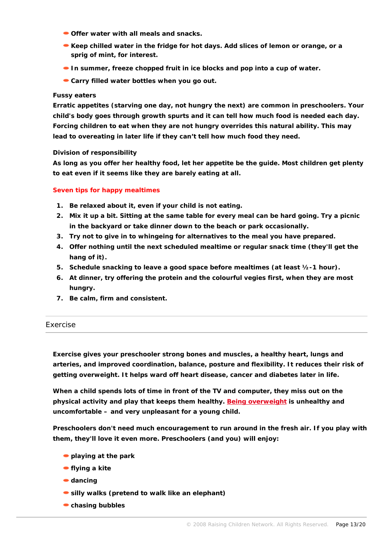- **Offer water with all meals and snacks.**
- **Keep chilled water in the fridge for hot days. Add slices of lemon or orange, or a sprig of mint, for interest.**
- **In summer, freeze chopped fruit in ice blocks and pop into a cup of water.**
- **Carry filled water bottles when you go out.**

### **Fussy eaters**

**Erratic appetites (starving one day, not hungry the next) are common in preschoolers. Your child's body goes through growth spurts and it can tell how much food is needed each day. Forcing children to eat when they are not hungry overrides this natural ability. This may lead to overeating in later life if they can't tell how much food they need.** 

### **Division of responsibility**

**As long as you offer her healthy food, let her appetite be the guide. Most children get plenty to eat even if it seems like they are barely eating at all.**

### **Seven tips for happy mealtimes**

- **1. Be relaxed about it, even if your child is not eating.**
- **2. Mix it up a bit. Sitting at the same table for every meal can be hard going. Try a picnic in the backyard or take dinner down to the beach or park occasionally.**
- **3. Try not to give in to whingeing for alternatives to the meal you have prepared.**
- **4. Offer nothing until the next scheduled mealtime or regular snack time (they'll get the hang of it).**
- **5. Schedule snacking to leave a good space before mealtimes (at least ½-1 hour).**
- **6. At dinner, try offering the protein and the colourful vegies first, when they are most hungry.**
- **7. Be calm, firm and consistent.**

### Exercise

**Exercise gives your preschooler strong bones and muscles, a healthy heart, lungs and arteries, and improved [coordination](javascript:showGlossary(2105);), balance, posture and flexibility. It reduces their risk of getting overweight. It helps ward off heart disease, cancer and [diabetes](javascript:showGlossary(560);) later in life.**

**When a child spends lots of time in front of the TV and computer, they miss out on the physical activity and play that keeps them healthy. [Being overweight](http://raisingchildren.net.au/articles/childhood_obesity.html/context/212) is unhealthy and uncomfortable – and very unpleasant for a young child.**

**Preschoolers don't need much encouragement to run around in the fresh air. If you play with them, they'll love it even more. Preschoolers (and you) will enjoy:**

- **playing at the park**
- **flying a kite**
- **dancing**
- **silly walks (pretend to walk like an elephant)**
- **chasing bubbles**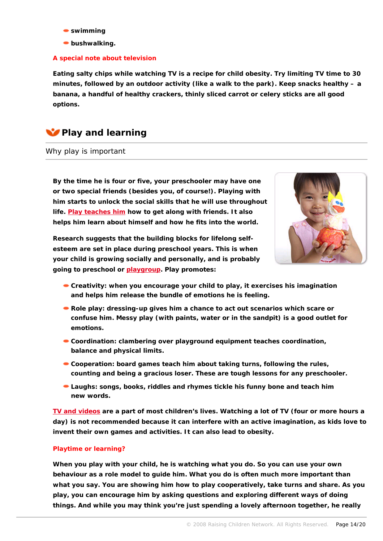- **swimming**
- **bushwalking.**

# **A special note about television**

**Eating salty chips while watching TV is a recipe for child obesity. Try limiting TV time to 30 minutes, followed by an outdoor activity (like a walk to the park). Keep snacks healthy – a banana, a handful of healthy crackers, thinly sliced carrot or celery sticks are all good options.**

# **Play and learning**

# Why play is important

**By the time he is four or five, your preschooler may have one or two special friends (besides you, of course!). Playing with him starts to unlock the social skills that he will use throughout life. [Play teaches him](http://raisingchildren.net.au/articles/why_play_is_important.html/context/236) how to get along with friends. It also helps him learn about himself and how he fits into the world.** 



**Research suggests that the building blocks for lifelong selfesteem are set in place during preschool years. This is when your child is growing socially and personally, and is probably going to preschool or [playgroup](http://raisingchildren.net.au/articles/playgroups.html). Play promotes:**

- **Creativity: when you encourage your child to play, it exercises his imagination and helps him release the bundle of emotions he is feeling.**
- **Role play: dressing-up gives him a chance to act out scenarios which scare or confuse him. Messy play (with paints, water or in the sandpit) is a good outlet for emotions.**
- **Coordination: clambering over playground equipment teaches coordination, balance and physical limits.**
- **Cooperation: board games teach him about taking turns, following the rules, counting and being a gracious loser. These are tough lessons for any preschooler.**
- **Laughs: songs, books, riddles and rhymes tickle his funny bone and teach him new words.**

**[TV and videos](http://raisingchildren.net.au/articles/tv_preschoolers.html/context/480) are a part of most children's lives. Watching a lot of TV (four or more hours a day) is not recommended because it can interfere with an active imagination, as kids love to invent their own games and activities. It can also lead to obesity.**

### **Playtime or learning?**

**When you play with your child, he is watching what you do. So you can use your own behaviour as a role model to guide him. What you do is often much more important than what you say. You are showing him how to play cooperatively, take turns and share. As you play, you can encourage him by asking questions and exploring different ways of doing things. And while you may think you're just spending a lovely afternoon together, he really**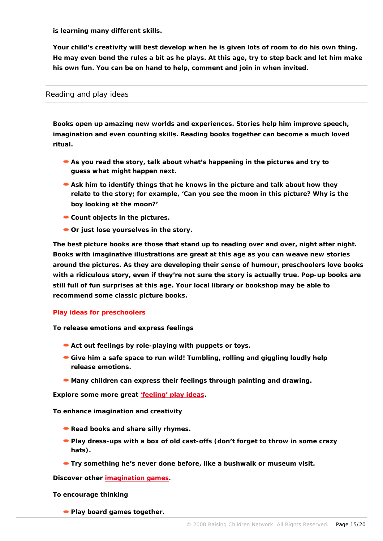**is learning many different skills.** 

**Your child's creativity will best develop when he is given lots of room to do his own thing. He may even bend the rules a bit as he plays. At this age, try to step back and let him make his own fun. You can be on hand to help, comment and join in when invited.** 

# Reading and play ideas

**Books open up amazing new worlds and experiences. Stories help him improve speech, imagination and even counting skills. Reading books together can become a much loved ritual.** 

- **As you read the story, talk about what's happening in the pictures and try to guess what might happen next.**
- **Ask him to identify things that he knows in the picture and talk about how they relate to the story; for example, 'Can you see the moon in this picture? Why is the boy looking at the moon?'**
- **Count objects in the pictures.**
- **Or just lose yourselves in the story.**

**The best picture books are those that stand up to reading over and over, night after night. Books with imaginative illustrations are great at this age as you can weave new stories around the pictures. As they are developing their sense of humour, preschoolers love books with a ridiculous story, even if they're not sure the story is actually true. Pop-up books are still full of fun surprises at this age. Your local library or bookshop may be able to recommend some classic picture books.**

### **Play ideas for preschoolers**

**To release emotions and express feelings**

- **Act out feelings by role-playing with puppets or toys.**
- Give him a safe space to run wild! Tumbling, rolling and giggling loudly help **release emotions.**
- **Many children can express their feelings through painting and drawing.**

**Explore some more great ['feeling' play ideas](http://raisingchildren.net.au/articles/feelings_-_preschoolers.html).** 

**To enhance imagination and creativity**

- **Read books and share silly rhymes.**
- **Play dress-ups with a box of old cast-offs (don't forget to throw in some crazy hats).**
- **Try something he's never done before, like a bushwalk or museum visit.**

**Discover other [imagination games](http://raisingchildren.net.au/articles/imagining_and_creating_-_preschoolers.html).** 

**To encourage thinking**

**Play board games together.**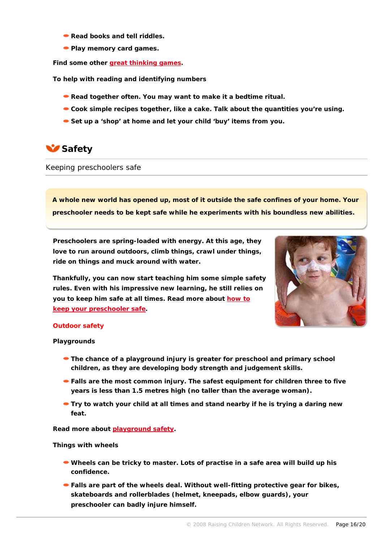- **Read books and tell riddles.**
- **Play memory card games.**

**Find some other [great thinking games](http://raisingchildren.net.au/articles/thinking_-_preschoolers.html).** 

**To help with reading and identifying numbers**

- **Read together often. You may want to make it a bedtime ritual.**
- **Cook simple recipes together, like a cake. Talk about the quantities you're using.**
- **Set up a 'shop' at home and let your child 'buy' items from you.**

# **Safety**

Keeping preschoolers safe

**A whole new world has opened up, most of it outside the safe confines of your home. Your preschooler needs to be kept safe while he experiments with his boundless new abilities.** 

**Preschoolers are spring-loaded with energy. At this age, they love to run around outdoors, climb things, crawl under things, ride on things and muck around with water.** 

**Thankfully, you can now start teaching him some simple safety rules. Even with his impressive new learning, he still relies on you to keep him safe at all times. Read more about [how to](http://raisingchildren.net.au/articles/preschooler_safety:_what_to_expect.html)  [keep your preschooler safe](http://raisingchildren.net.au/articles/preschooler_safety:_what_to_expect.html).** 



### **Outdoor safety**

**Playgrounds**

- **The chance of a playground injury is greater for preschool and primary school children, as they are developing body strength and judgement skills.**
- **Falls are the most common injury. The safest equipment for children three to five years is less than 1.5 metres high (no taller than the average woman).**
- **Try to watch your child at all times and stand nearby if he is trying a daring new feat.**

**Read more about [playground safety](http://raisingchildren.net.au/articles/playground_fun_without_tears.html/context/372).** 

**Things with wheels**

- **Wheels can be tricky to master. Lots of practise in a safe area will build up his confidence.**
- **Falls are part of the wheels deal. Without well-fitting protective gear for bikes, skateboards and rollerblades (helmet, kneepads, elbow guards), your preschooler can badly injure himself.**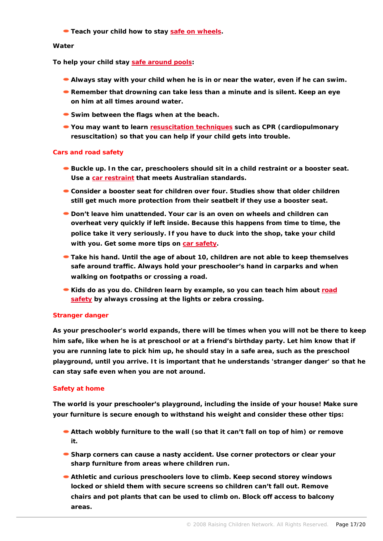**Teach your child how to stay [safe on wheels.](http://raisingchildren.net.au/articles/bicycles,_scooters,_skateboards_and_other_wheeled.html/context/581)**

# **Water**

**To help your child stay [safe around pools](http://raisingchildren.net.au/articles/swimming_pool_fences.html/context/584):** 

- **Always stay with your child when he is in or near the water, even if he can swim.**
- **Remember that drowning can take less than a minute and is silent. Keep an eye on him at all times around water.**
- **Swim between the flags when at the beach.**
- **You may want to learn [resuscitation techniques](http://raisingchildren.net.au/articles/pip_cpr_kids.html) such as [CPR](javascript:showGlossary(1340);) (cardiopulmonary resuscitation) so that you can help if your child gets into trouble.**

### **Cars and road safety**

- **Buckle up. In the car, preschoolers should sit in a child restraint or a booster seat. Use a [car restraint](http://raisingchildren.net.au/articles/car_safety.html) that meets Australian standards.**
- **Consider a booster seat for children over four. Studies show that older children still get much more protection from their seatbelt if they use a booster seat.**
- **Don't leave him unattended. Your car is an oven on wheels and children can overheat very quickly if left inside. Because this happens from time to time, the police take it very seriously. If you have to duck into the shop, take your child with you. Get some more tips on [car safety.](http://raisingchildren.net.au/articles/safety_in_the_car.html)**
- **Take his hand. Until the age of about 10, children are not able to keep themselves safe around traffic. Always hold your preschooler's hand in carparks and when walking on footpaths or crossing a road.**
- **Kids do as you do. Children learn by example, so you can teach him about <b>road [safety](http://raisingchildren.net.au/articles/pedestrian_safety.html/context/584) by always crossing at the lights or zebra crossing.**

### **Stranger danger**

**As your preschooler's world expands, there will be times when you will not be there to keep him safe, like when he is at preschool or at a friend's birthday party. Let him know that if you are running late to pick him up, he should stay in a safe area, such as the preschool playground, until you arrive. It is important that he understands 'stranger danger' so that he can stay safe even when you are not around.** 

### **Safety at home**

**The world is your preschooler's playground, including the inside of your house! Make sure your furniture is secure enough to withstand his weight and consider these other tips:**

- **Attach wobbly furniture to the wall (so that it can't fall on top of him) or remove it.**
- **Sharp corners can cause a nasty accident. Use corner protectors or clear your sharp furniture from areas where children run.**
- **Athletic and curious preschoolers love to climb. Keep second storey windows locked or shield them with secure screens so children can't fall out. Remove chairs and pot plants that can be used to climb on. Block off access to balcony areas.**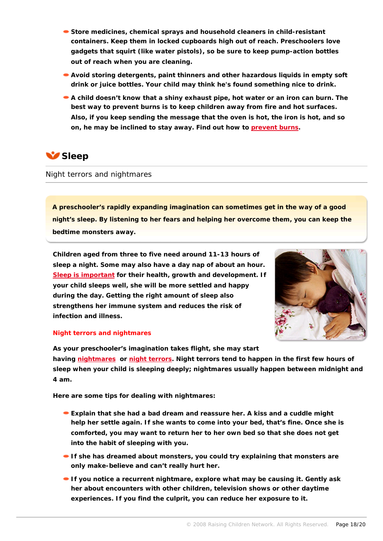- **Store medicines, chemical sprays and household cleaners in child-resistant containers. Keep them in locked cupboards high out of reach. Preschoolers love gadgets that squirt (like water pistols), so be sure to keep pump-action bottles out of reach when you are cleaning.**
- **Avoid storing detergents, paint thinners and other hazardous liquids in empty soft drink or juice bottles. Your child may think he's found something nice to drink.**
- **A child doesn't know that a shiny exhaust pipe, hot water or an iron can burn. The best way to prevent burns is to keep children away from fire and hot surfaces. Also, if you keep sending the message that the oven is hot, the iron is hot, and so on, he may be inclined to stay away. Find out how to [prevent burns.](http://raisingchildren.net.au/articles/fire_and_burns.html/context/373)**

# **Sleep**

# Night terrors and nightmares

**A preschooler's rapidly expanding imagination can sometimes get in the way of a good night's sleep. By listening to her fears and helping her overcome them, you can keep the bedtime monsters away.**

**Children aged from three to five need around 11-13 hours of sleep a night. Some may also have a day nap of about an hour. [Sleep is important](http://raisingchildren.net.au/articles/sleep:_the_hows_and_whys.html/context/322) for their health, growth and development. If your child sleeps well, she will be more settled and happy during the day. Getting the right amount of sleep also strengthens her immune system and reduces the risk of infection and illness.** 



### **Night terrors and nightmares**

**As your preschooler's imagination takes flight, she may start having [nightmares](http://raisingchildren.net.au/articles/nightmares.html/context/617) or [night terrors](http://raisingchildren.net.au/articles/night_terrors.html/context/617). Night terrors tend to happen in the first few hours of sleep when your child is sleeping deeply; nightmares usually happen between midnight and 4 am.**

**Here are some tips for dealing with nightmares:**

- **Explain that she had a bad dream and reassure her. A kiss and a cuddle might help her settle again. If she wants to come into your bed, that's fine. Once she is comforted, you may want to return her to her own bed so that she does not get into the habit of sleeping with you.**
- **If she has dreamed about monsters, you could try explaining that monsters are only make-believe and can't really hurt her.**
- **If you notice a recurrent nightmare, explore what may be causing it. Gently ask her about encounters with other children, television shows or other daytime experiences. If you find the culprit, you can reduce her exposure to it.**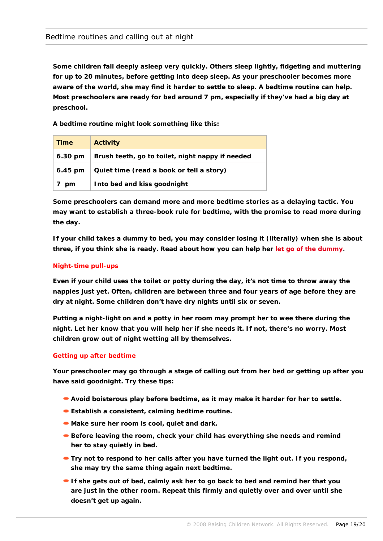**Some children fall deeply asleep very quickly. Others sleep lightly, fidgeting and muttering for up to 20 minutes, before getting into deep sleep. As your preschooler becomes more aware of the world, she may find it harder to settle to sleep. A bedtime routine can help. Most preschoolers are ready for bed around 7 pm, especially if they've had a big day at preschool.** 

**A bedtime routine might look something like this:**

| Time              | Activity                                         |
|-------------------|--------------------------------------------------|
| $6.30 \text{ pm}$ | Brush teeth, go to toilet, night nappy if needed |
| $6.45$ pm         | Quiet time (read a book or tell a story)         |
| pm                | Into bed and kiss goodnight                      |

**Some preschoolers can demand more and more bedtime stories as a delaying tactic. You may want to establish a three-book rule for bedtime, with the promise to read more during the day.** 

**If your child takes a [dummy](javascript:showGlossary(1344);) to bed, you may consider losing it (literally) when she is about three, if you think she is ready. Read about how you can help her [let go of the dummy.](http://raisingchildren.net.au/articles/ditching_the_dummy.html)**

# **Night-time pull-ups**

**Even if your child uses the toilet or potty during the day, it's not time to throw away the nappies just yet. Often, children are between three and four years of age before they are dry at night. Some children don't have dry nights until six or seven.**

**Putting a night-light on and a potty in her room may prompt her to wee there during the night. Let her know that you will help her if she needs it. If not, there's no worry. Most children grow out of night wetting all by themselves.**

### **Getting up after bedtime**

**Your preschooler may go through a stage of calling out from her bed or getting up after you have said goodnight. Try these tips:**

- **Avoid boisterous play before bedtime, as it may make it harder for her to settle.**
- **Establish a consistent, calming [bedtime routine](javascript:showGlossary(3902);).**
- **Make sure her room is cool, quiet and dark.**
- **Before leaving the room, check your child has everything she needs and remind her to stay quietly in bed.**
- **Try not to respond to her calls after you have turned the light out. If you respond, she may try the same thing again next bedtime.**
- **If she gets out of bed, calmly ask her to go back to bed and remind her that you are just in the other room. Repeat this firmly and quietly over and over until she doesn't get up again.**